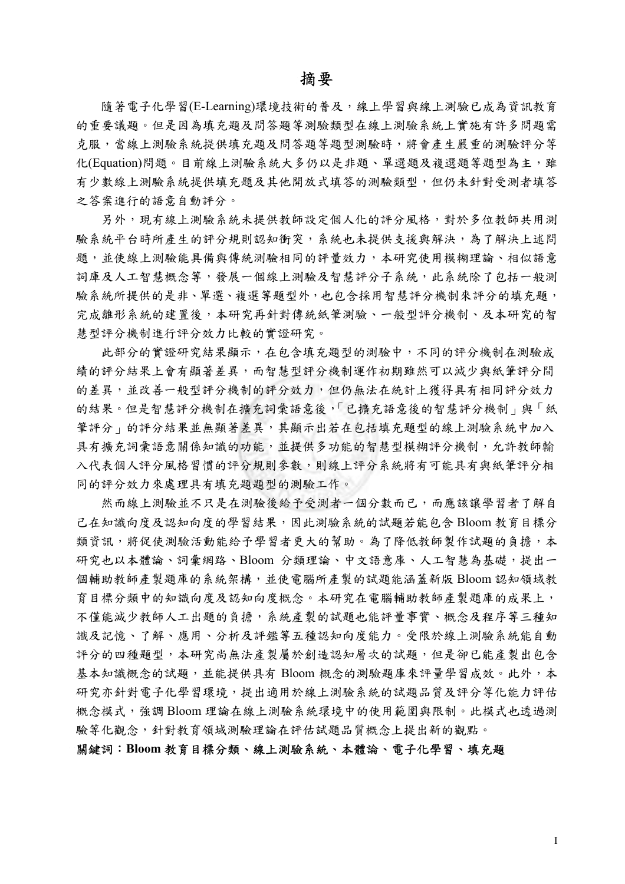## 摘要

隨著電子化學習(E-Learning)環境技術的普及,線上學習與線上測驗已成為資訊教育 的重要議題。但是因為填充題及問答題等測驗類型在線上測驗系統上實施有許多問題需 克服,當線上測驗系統提供填充題及問答題等題型測驗時,將會產生嚴重的測驗評分等 化(Equation)問題。目前線上測驗系統大多仍以是非題、單選題及複選題等題型為主,雖 有少數線上測驗系統提供填充題及其他開放式填答的測驗類型,但仍未針對受測者填答 之答案進行的語意自動評分。

另外,現有線上測驗系統未提供教師設定個人化的評分風格,對於多位教師共用測 驗系統平台時所產生的評分規則認知衝突,系統也未提供支援與解決,為了解決上述問 題,並使線上測驗能具備與傳統測驗相同的評量效力,本研究使用模糊理論、相似語意 詞庫及人工智慧概念等,發展一個線上測驗及智慧評分子系統,此系統除了包括一般測 驗系統所提供的是非、單選、複選等題型外,也包含採用智慧評分機制來評分的填充題, 完成雛形系統的建置後,本研究再針對傳統紙筆測驗、一般型評分機制、及本研究的智 慧型評分機制進行評分效力比較的實證研究。

此部分的實證研究結果顯示,在包含填充題型的測驗中,不同的評分機制在測驗成 績的評分結果上會有顯著差異,而智慧型評分機制運作初期雖然可以減少與紙筆評分間 的差異,並改善一般型評分機制的評分效力,但仍無法在統計上獲得具有相同評分效力 的結果。但是智慧評分機制在擴充詞彙語意後,「已擴充語意後的智慧評分機制」與「紙 筆評分」的評分結果並無顯著差異,其顯示出若在包括填充題型的線上測驗系統中加入 具有擴充詞彙語意關係知識的功能,並提供多功能的智慧型模糊評分機制,允許教師輸 入代表個人評分風格習慣的評分規則參數,則線上評分系統將有可能具有與紙筆評分相 同的評分效力來處理具有填充題題型的測驗工作。

然而線上測驗並不只是在測驗後給予受測者一個分數而已,而應該讓學習者了解自 己在知識向度及認知向度的學習結果,因此測驗系統的試題若能包含 Bloom 教育目標分 類資訊,將促使測驗活動能給予學習者更大的幫助。為了降低教師製作試題的負擔,本 研究也以本體論、詞彙網路、Bloom 分類理論、中文語意庫、人工智慧為基礎,提出一 個輔助教師產製題庫的系統架構,並使電腦所產製的試題能涵蓋新版 Bloom 認知領域教 育目標分類中的知識向度及認知向度概念。本研究在電腦輔助教師產製題庫的成果上, 不僅能減少教師人工出題的負擔,系統產製的試題也能評量事實、概念及程序等三種知 識及記憶、了解、應用、分析及評鑑等五種認知向度能力。受限於線上測驗系統能自動 評分的四種題型,本研究尚無法產製屬於創造認知層次的試題,但是卻已能產製出包含 基本知識概念的試題,並能提供具有 Bloom 概念的測驗題庫來評量學習成效。此外,本 研究亦針對電子化學習環境,提出適用於線上測驗系統的試題品質及評分等化能力評估 概念模式,強調 Bloom 理論在線上測驗系統環境中的使用範圍與限制。此模式也透過測 驗等化觀念,針對教育領域測驗理論在評估試題品質概念上提出新的觀點。

關鍵詞:**Bloom** 教育目標分類、線上測驗系統、本體論、電子化學習、填充題